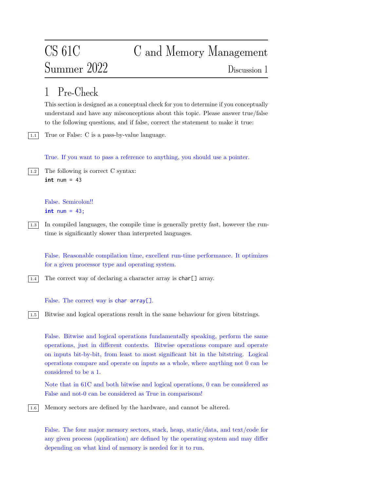# CS 61C C and Memory Management Summer 2022 Discussion 1

## 1 Pre-Check

This section is designed as a conceptual check for you to determine if you conceptually understand and have any misconceptions about this topic. Please answer true/false to the following questions, and if false, correct the statement to make it true:

1.1 True or False: C is a pass-by-value language.

True. If you want to pass a reference to anything, you should use a pointer.

```
\boxed{1.2} The following is correct C syntax:
      int num = 43
```

```
False. Semicolon!!
int num = 43;
```
1.3 In compiled languages, the compile time is generally pretty fast, however the runtime is significantly slower than interpreted languages.

False. Reasonable compilation time, excellent run-time performance. It optimizes for a given processor type and operating system.

| $1.4$  The correct way of declaring a character array is char[] array.

False. The correct way is char array[].

1.5 Bitwise and logical operations result in the same behaviour for given bitstrings.

False. Bitwise and logical operations fundamentally speaking, perform the same operations, just in different contexts. Bitwise operations compare and operate on inputs bit-by-bit, from least to most significant bit in the bitstring. Logical operations compare and operate on inputs as a whole, where anything not 0 can be considered to be a 1.

Note that in 61C and both bitwise and logical operations, 0 can be considered as False and not-0 can be considered as True in comparisons!

1.6 Memory sectors are defined by the hardware, and cannot be altered.

False. The four major memory sectors, stack, heap, static/data, and text/code for any given process (application) are defined by the operating system and may differ depending on what kind of memory is needed for it to run.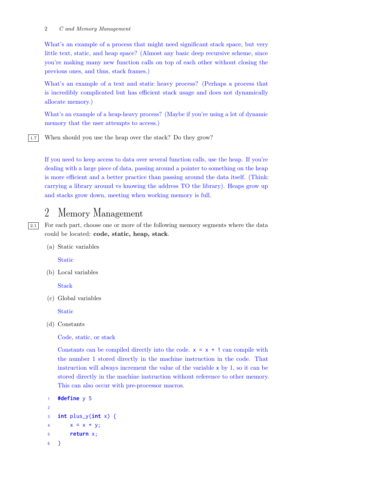#### 2 C and Memory Management

What's an example of a process that might need significant stack space, but very little text, static, and heap space? (Almost any basic deep recursive scheme, since you're making many new function calls on top of each other without closing the previous ones, and thus, stack frames.)

What's an example of a text and static heavy process? (Perhaps a process that is incredibly complicated but has efficient stack usage and does not dynamically allocate memory.)

What's an example of a heap-heavy process? (Maybe if you're using a lot of dynamic memory that the user attempts to access.)

1.7 When should you use the heap over the stack? Do they grow?

If you need to keep access to data over several function calls, use the heap. If you're dealing with a large piece of data, passing around a pointer to something on the heap is more efficient and a better practice than passing around the data itself. (Think: carrying a library around vs knowing the address TO the library). Heaps grow up and stacks grow down, meeting when working memory is full.

### 2 Memory Management

2.1 For each part, choose one or more of the following memory segments where the data could be located: code, static, heap, stack.

(a) Static variables

Static

(b) Local variables

**Stack** 

(c) Global variables

Static

(d) Constants

Code, static, or stack

Constants can be compiled directly into the code.  $x = x + 1$  can compile with the number 1 stored directly in the machine instruction in the code. That instruction will always increment the value of the variable x by 1, so it can be stored directly in the machine instruction without reference to other memory. This can also occur with pre-processor macros.

```
1 #define y 5
\overline{2}3 int plus_y(int x) {
4 x = x + y;
5 return x;
6 }
```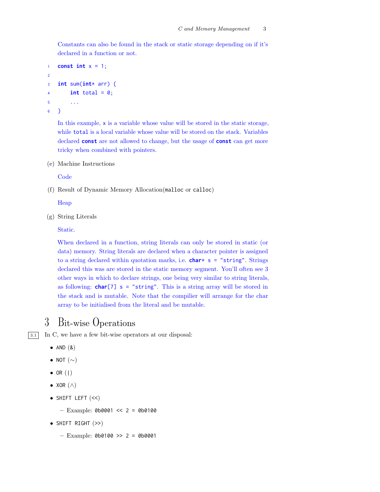Constants can also be found in the stack or static storage depending on if it's declared in a function or not.

```
1 const int x = 1;
2
3 int sum(int* arr) {
4 int total = \theta;
5 \qquad \ldots6 }
```
In this example, x is a variable whose value will be stored in the static storage, while total is a local variable whose value will be stored on the stack. Variables declared **const** are not allowed to change, but the usage of **const** can get more tricky when combined with pointers.

(e) Machine Instructions

**Code** 

(f) Result of Dynamic Memory Allocation(malloc or calloc)

Heap

(g) String Literals

Static.

When declared in a function, string literals can only be stored in static (or data) memory. String literals are declared when a character pointer is assigned to a string declared within quotation marks, i.e. **char**\* s = "string". Strings declared this was are stored in the static memory segment. You'll often see 3 other ways in which to declare strings, one being very similar to string literals, as following: **char**[7] s = "string". This is a string array will be stored in the stack and is mutable. Note that the compilier will arrange for the char array to be initialised from the literal and be mutable.

### 3 Bit-wise Operations

3.1 In C, we have a few bit-wise operators at our disposal:

- AND  $(8)$
- NOT  $(\sim)$
- $\bullet$  OR  $($ |)
- XOR (∧)
- SHIFT LEFT (<<)
	- $-$  Example: 0b0001 << 2 = 0b0100
- SHIFT RIGHT (>>)
	- $-$  Example: 0b0100 >> 2 = 0b0001